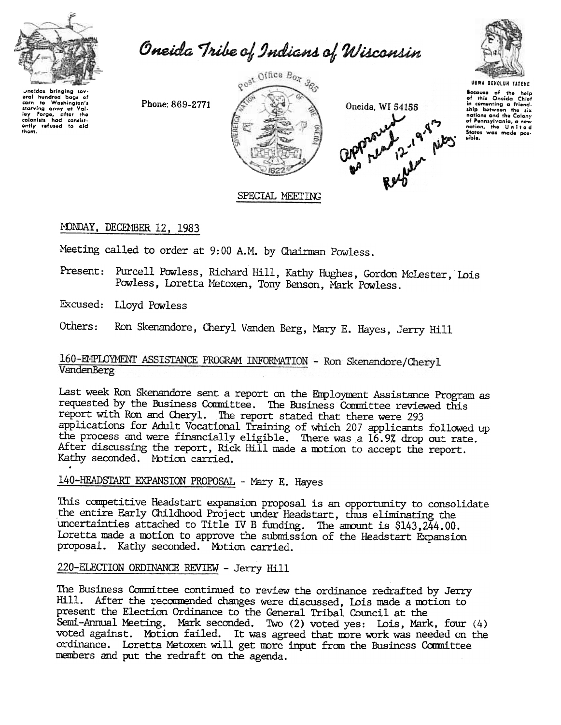

Oneida Tribe of Indians of Wisconsin

Phone: 869-2771





**Because** of the help<br>of this Oneida Chief of this Oneida Chief<br>in comenting a friend-<br>ship between the six<br>notions and the Colony nations and the Colony<br>of Pennsylvania, a new<br>nation, the United<br>States was made pos-

**UGWA BEHOLUN YATEHE** 

### SPECIAL MEETING

### MONDAY, DECEMBER 12, 1983

Meeting called to order at 9:00 A.M. by Chairman Powless.

Present: Purcell Powless, Richard Hill, Kathy Hughes, Gordon McLester, Lois Powless, Loretta Metoxen, Tony Benson, Mark Powless.

Excused: Lloyd Powless

Ron Skenandore, Cheryl Vanden Berg, Mary E. Hayes, Jerry Hill Others:

### 160-EMPLOYMENT ASSISTANCE PROGRAM INFORMATION - Ron Skenandore/Cheryl VandenBerg

Last week Ron Skenandore sent a report on the Employment Assistance Program as requested by the Business Committee. The Business Committee reviewed this report with Ron and Cheryl. The report stated that there were 293 applications for Adult Vocational Training of which 207 applicants followed up the process and were financially eligible. There was a 16.9% drop out rate. After discussing the report, Rick Hill made a motion to accept the report. Kathy seconded. Motion carrie

## 140-HEADSTART EXPANSION PROPOSAL - Mary E. Hayes

This competitive Headstart expansion proposal is an opportunity to consolidate the entire Early Childhood Project under Headstart, thus eliminating the uncertainties attadhed to Title IV B funding. The amount is \$143,244.00. Loretta made a motion to approve the submission of the Headstart Expansion proposal. Kathy seconded. Motion carried.

### 220-ELECTION ORDINANCE REVIEW - Jerry Hill

The Business Committee continued to review the ordinance redrafted by Jerry Hill. After the recommended changes were discussed, Lois made a motion to present the Election Ordinance to the General Tribal Council at the Semi-Annual Meeting. Mark seconded. Two (2) voted yes: Lois, Mark, four (4) voted against. Motion failed. It was agreed that more work was needed on the ordinance. Loretta Metoxen will get more input from the Business Committee members and put the redraft on the agenda.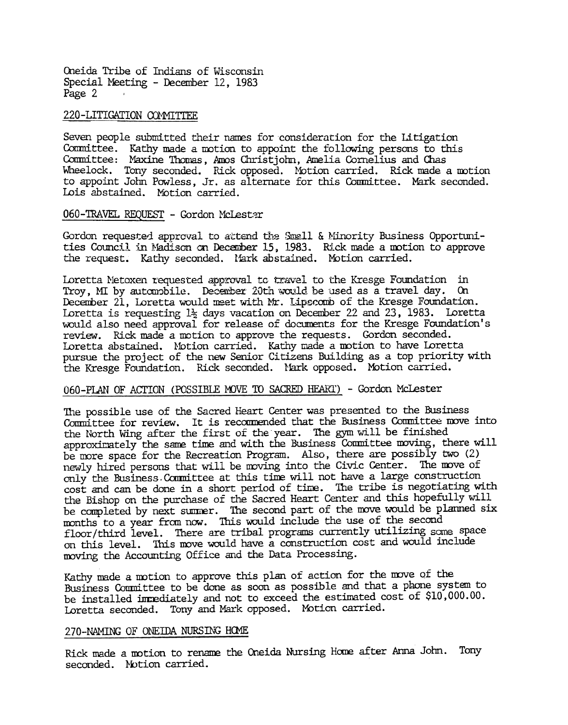Oneida Tribe of Indians of Wisconsin Special Meeting - December 12, 1983 Page 2

#### 220-LITIGATION COMMITTEE

Seven people submitted their names for consideration for the Litigation Committee. Kathy made a motion to appoint the following persons to this Committee: Maxine Thomas, Amos Christjohn, Amelia Cornelius and Chas Wheelock. Tony seconded. Rick opposed. Motion carried. Rick made a motion to appoint John Powless, Jr. as alternate for this Committee. Mark seconded. Lois abstained. MOtion carried.

# 060-TRAVEL REQUEST - Gordon McLester

Gordon requested approval to attend the Small & Minority Business Opportunities Council in Madison on December 15, 1983. Rick made a motion to approve the request. Kathy seconded. Mark abstained. Motion carried.

Loretta Metoxen requested approval to cravel to the Kresge Foundation in Troy, MI by automobile. December 20th would be used as a travel day. On December 21, Loretta would meet with Mr. Lipscomb of the Kresge Foundation. Loretta is requesting  $1\frac{1}{2}$  days vacation on December 22 and 23, 1983. Loretta would also need approval for release of documents for the Kresge Foundation's review. Rick made a motion to approve the requests. Gordon seconded. Loretta abstained. Notion carried. Kathy made a motion to have Loretta pursue the project of the new Senior Citizens Building as a top priority with the Kresge Foundation. Rick seconded. Mark opposed. Motion carried.

#### 060-PLAN OF ACTION (POSSIBLE MOVE TO SACRED HEART) - Gordon McLester

The possible use of the Sacred Heart Center was presented to the Business Committee for review. It is recommended that the Business Committee move into the North Wing after the first of the year. The gym will be finished approximately the same time and with the Business Committee moving, there will be more space for the Recreation Program. Also, there are possibly two (2) newly hired persons that will be moving into the Civic Center. The move of only the Business. Committee at this time will not have a large construction cost and can be done in a short period of time. The tribe is negotiating with the Bishop on the purchase of the Sacred Heart Center and this hopefully will be completed by next summer. The second part of the move would be planned six months to a year from now. This would include the use of the second floor /third level. There are tribal programs currently utilizing some space on this level. This move would have a construction cost and would include moving the Accounting Office and the Data Processing.

Kathy made a motion to approve this plan of action for the move of the Business Committee to be done as soon as possible and that a phone system to be installed immediately and not to exceed the estimated cost of  $$10,000.00$ . Loretta seconded. Tony and Mark opposed. Motion carried.

#### 270-NAMING OF ONEIDA NURSING HOME

Rick made a motion to rename the Oneida Nursing Home after Anna John. Tony seconded. Notion carried.